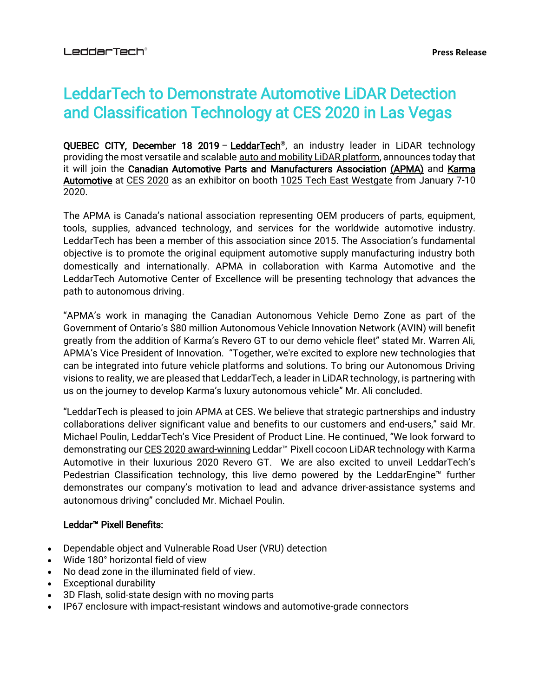# LeddarTech to Demonstrate Automotive LiDAR Detection and Classification Technology at CES 2020 in Las Vegas

QUEBEC CITY, December 18 2019 – [LeddarTech](https://leddartech.com/)<sup>®</sup>, an industry leader in LiDAR technology providing the most versatile and scalable [auto and mobility LiDAR platform,](https://leddartech.com/auto-mobility-lidar-platform-overview-video/) announces today that it will join the Canadian Automotive Parts and Manufacturers Association [\(APMA\)](https://apma.ca/) and Karma [Automotive](https://karmaautomotive.com/) at [CES 2020](https://www.ces.tech/) as an exhibitor on booth [1025 Tech East Westgate](https://ces20.mapyourshow.com/8_0/floorplan/index.cfm?hallID=F&selectedBooth=booth~1025) from January 7-10 2020.

The APMA is Canada's national association representing OEM producers of parts, equipment, tools, supplies, advanced technology, and services for the worldwide automotive industry. LeddarTech has been a member of this association since 2015. The Association's fundamental objective is to promote the original equipment automotive supply manufacturing industry both domestically and internationally. APMA in collaboration with Karma Automotive and the LeddarTech Automotive Center of Excellence will be presenting technology that advances the path to autonomous driving.

"APMA's work in managing the Canadian Autonomous Vehicle Demo Zone as part of the Government of Ontario's \$80 million Autonomous Vehicle Innovation Network (AVIN) will benefit greatly from the addition of Karma's Revero GT to our demo vehicle fleet" stated Mr. Warren Ali, APMA's Vice President of Innovation. "Together, we're excited to explore new technologies that can be integrated into future vehicle platforms and solutions. To bring our Autonomous Driving visions to reality, we are pleased that LeddarTech, a leader in LiDAR technology, is partnering with us on the journey to develop Karma's luxury autonomous vehicle" Mr. Ali concluded.

"LeddarTech is pleased to join APMA at CES. We believe that strategic partnerships and industry collaborations deliver significant value and benefits to our customers and end-users," said Mr. Michael Poulin, LeddarTech's Vice President of Product Line. He continued, "We look forward to demonstrating our [CES 2020 award-winning](https://www.globenewswire.com/news-release/2019/11/13/1946039/0/en/LeddarTech-is-Recognized-as-a-CES-2020-Innovation-Award-Honoree-for-The-Leddar-Pixell-a-Cocoon-LiDAR-Recently-Released-for-the-Autonomous-Vehicle-Market.html) Leddar<sup>™</sup> Pixell cocoon LiDAR technology with Karma Automotive in their luxurious 2020 Revero GT. We are also excited to unveil LeddarTech's Pedestrian Classification technology, this live demo powered by the LeddarEngine™ further demonstrates our company's motivation to lead and advance driver-assistance systems and autonomous driving" concluded Mr. Michael Poulin.

## [Leddar™](https://direc.to/cJ97) Pixell Benefits:

- Dependable object and Vulnerable Road User (VRU) detection
- Wide 180° horizontal field of view
- No dead zone in the illuminated field of view.
- **Exceptional durability**
- 3D Flash, solid-state design with no moving parts
- IP67 enclosure with impact-resistant windows and automotive-grade connectors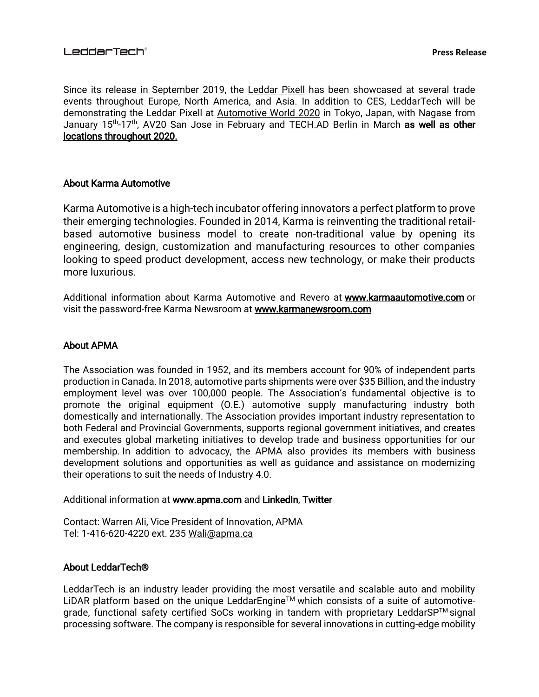Since its release in September 2019, the [Leddar Pixell](https://www.youtube.com/watch?time_continue=2&v=ubtEcZbxXpA&feature=emb_title) has been showcased at several trade events throughout Europe, North America, and Asia. In addition to CES, LeddarTech will be demonstrating the Leddar Pixell at [Automotive World 2020](https://www.automotiveworld.jp/en-gb.html) in Tokyo, Japan, with Nagase from January 15<sup>th</sup>-17<sup>th</sup>, [AV20](https://www.automotive-iq.com/events-autonomousvehicles) San Jose in February and [TECH.AD Berlin](https://www.autonomous-driving-berlin.com/) in March as well as other [locations throughout 2020.](https://leddartech.com/events/#upcoming-events/)

### About Karma Automotive

Karma Automotive is a high-tech incubator offering innovators a perfect platform to prove their emerging technologies. Founded in 2014, Karma is reinventing the traditional retailbased automotive business model to create non-traditional value by opening its engineering, design, customization and manufacturing resources to other companies looking to speed product development, access new technology, or make their products more luxurious.

Additional information about Karma Automotive and Revero at [www.karmaautomotive.com](https://karmaautomotive.com/) or visit the password-free Karma Newsroom at [www.karmanewsroom.com](https://www.karmanewsroom.com/)

## About APMA

The Association was founded in 1952, and its members account for 90% of independent parts production in Canada. In 2018, automotive parts shipments were over \$35 Billion, and the industry employment level was over 100,000 people. The Association's fundamental objective is to promote the original equipment (O.E.) automotive supply manufacturing industry both domestically and internationally. The Association provides important industry representation to both Federal and Provincial Governments, supports regional government initiatives, and creates and executes global marketing initiatives to develop trade and business opportunities for our membership. In addition to advocacy, the APMA also provides its members with business development solutions and opportunities as well as guidance and assistance on modernizing their operations to suit the needs of Industry 4.0.

Additional information at [www.apma.com](http://www.apma.com/) and [LinkedIn,](https://ca.linkedin.com/company/apmacanada) Twitter

Contact: Warren Ali, Vice President of Innovation, APMA Tel: 1-416-620-4220 ext. 235 [Wali@apma.ca](mailto:Wali@apma.ca)

#### About LeddarTech®

LeddarTech is an industry leader providing the most versatile and scalable auto and mobility LiDAR platform based on the unique LeddarEngine™ which consists of a suite of automotivegrade, functional safety certified SoCs working in tandem with proprietary LeddarSP™ signal processing software. The company is responsible for several innovations in cutting-edge mobility